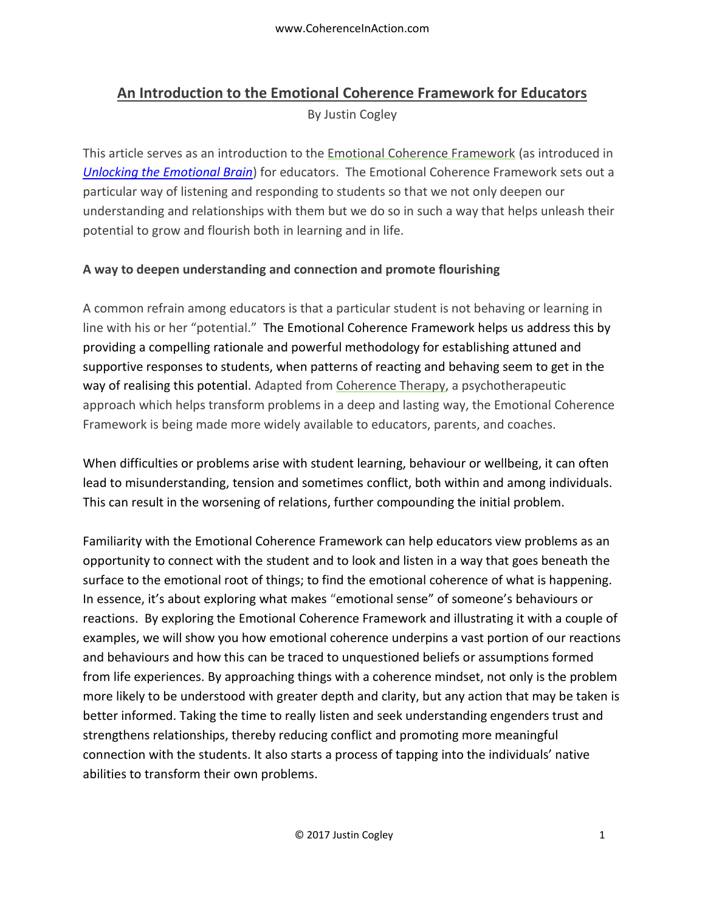# **An Introduction to the Emotional Coherence Framework for Educators** By Justin Cogley

This article serves as an introduction to the Emotional Coherence Framework (as introduced in *[Unlocking the Emotional Brain](https://www.amazon.com/Unlocking-Emotional-Brain-Eliminating-Reconsolidation/dp/0415897173)*) for educators. The Emotional Coherence Framework sets out a particular way of listening and responding to students so that we not only deepen our understanding and relationships with them but we do so in such a way that helps unleash their potential to grow and flourish both in learning and in life.

# **A way to deepen understanding and connection and promote flourishing**

A common refrain among educators is that a particular student is not behaving or learning in line with his or her "potential." The Emotional Coherence Framework helps us address this by providing a compelling rationale and powerful methodology for establishing attuned and supportive responses to students, when patterns of reacting and behaving seem to get in the way of realising this potential. Adapted from Coherence Therapy, a psychotherapeutic approach which helps transform problems in a deep and lasting way, the Emotional Coherence Framework is being made more widely available to educators, parents, and coaches.

When difficulties or problems arise with student learning, behaviour or wellbeing, it can often lead to misunderstanding, tension and sometimes conflict, both within and among individuals. This can result in the worsening of relations, further compounding the initial problem.

Familiarity with the Emotional Coherence Framework can help educators view problems as an opportunity to connect with the student and to look and listen in a way that goes beneath the surface to the emotional root of things; to find the emotional coherence of what is happening. In essence, it's about exploring what makes "emotional sense" of someone's behaviours or reactions. By exploring the Emotional Coherence Framework and illustrating it with a couple of examples, we will show you how emotional coherence underpins a vast portion of our reactions and behaviours and how this can be traced to unquestioned beliefs or assumptions formed from life experiences. By approaching things with a coherence mindset, not only is the problem more likely to be understood with greater depth and clarity, but any action that may be taken is better informed. Taking the time to really listen and seek understanding engenders trust and strengthens relationships, thereby reducing conflict and promoting more meaningful connection with the students. It also starts a process of tapping into the individuals' native abilities to transform their own problems.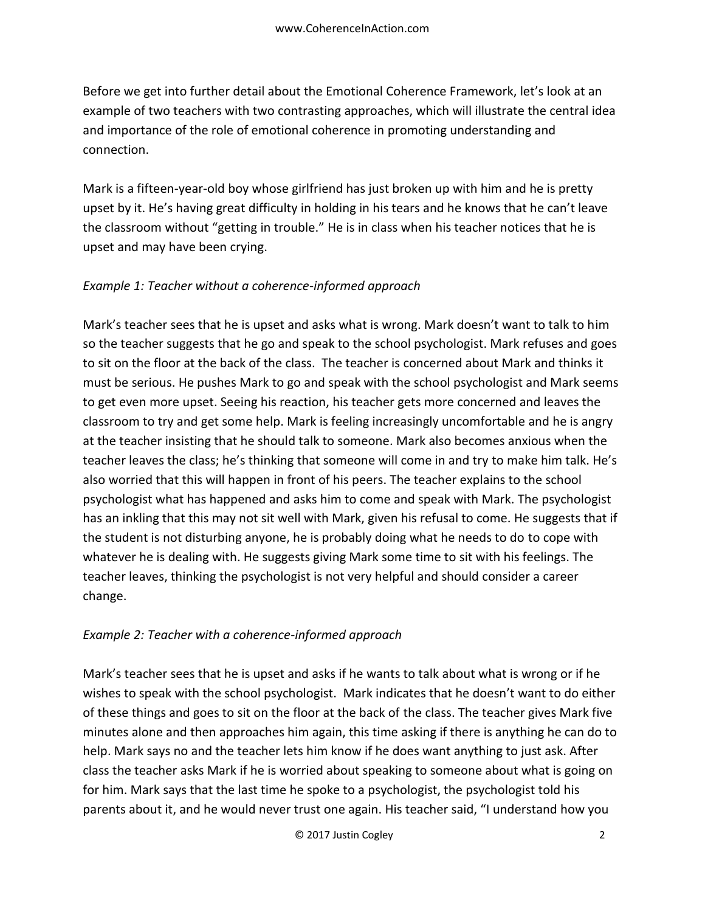Before we get into further detail about the Emotional Coherence Framework, let's look at an example of two teachers with two contrasting approaches, which will illustrate the central idea and importance of the role of emotional coherence in promoting understanding and connection.

Mark is a fifteen-year-old boy whose girlfriend has just broken up with him and he is pretty upset by it. He's having great difficulty in holding in his tears and he knows that he can't leave the classroom without "getting in trouble." He is in class when his teacher notices that he is upset and may have been crying.

# *Example 1: Teacher without a coherence-informed approach*

Mark's teacher sees that he is upset and asks what is wrong. Mark doesn't want to talk to him so the teacher suggests that he go and speak to the school psychologist. Mark refuses and goes to sit on the floor at the back of the class. The teacher is concerned about Mark and thinks it must be serious. He pushes Mark to go and speak with the school psychologist and Mark seems to get even more upset. Seeing his reaction, his teacher gets more concerned and leaves the classroom to try and get some help. Mark is feeling increasingly uncomfortable and he is angry at the teacher insisting that he should talk to someone. Mark also becomes anxious when the teacher leaves the class; he's thinking that someone will come in and try to make him talk. He's also worried that this will happen in front of his peers. The teacher explains to the school psychologist what has happened and asks him to come and speak with Mark. The psychologist has an inkling that this may not sit well with Mark, given his refusal to come. He suggests that if the student is not disturbing anyone, he is probably doing what he needs to do to cope with whatever he is dealing with. He suggests giving Mark some time to sit with his feelings. The teacher leaves, thinking the psychologist is not very helpful and should consider a career change.

# *Example 2: Teacher with a coherence-informed approach*

Mark's teacher sees that he is upset and asks if he wants to talk about what is wrong or if he wishes to speak with the school psychologist. Mark indicates that he doesn't want to do either of these things and goes to sit on the floor at the back of the class. The teacher gives Mark five minutes alone and then approaches him again, this time asking if there is anything he can do to help. Mark says no and the teacher lets him know if he does want anything to just ask. After class the teacher asks Mark if he is worried about speaking to someone about what is going on for him. Mark says that the last time he spoke to a psychologist, the psychologist told his parents about it, and he would never trust one again. His teacher said, "I understand how you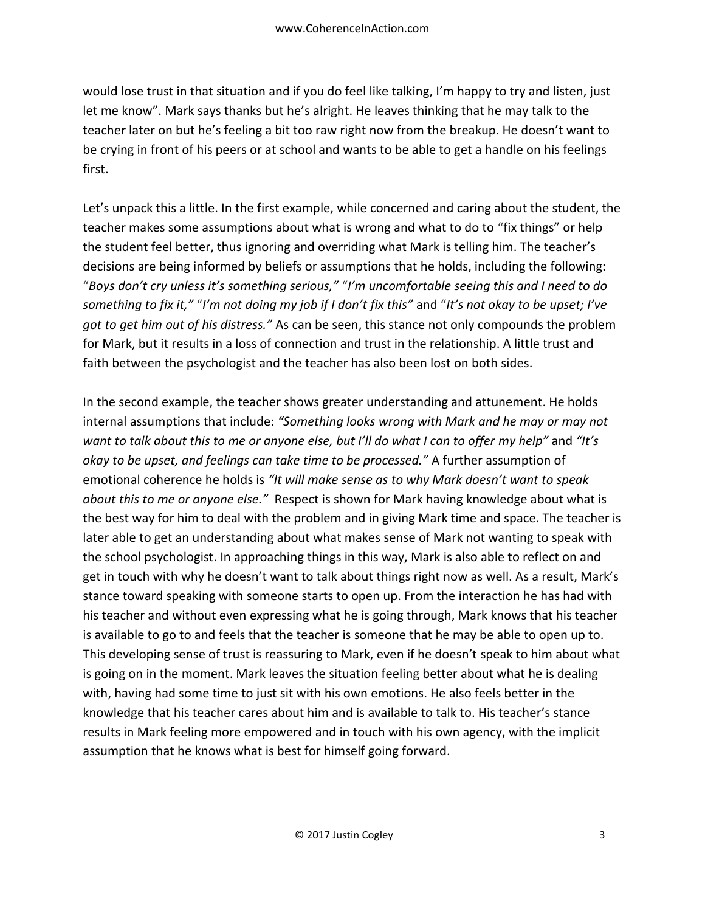would lose trust in that situation and if you do feel like talking, I'm happy to try and listen, just let me know". Mark says thanks but he's alright. He leaves thinking that he may talk to the teacher later on but he's feeling a bit too raw right now from the breakup. He doesn't want to be crying in front of his peers or at school and wants to be able to get a handle on his feelings first.

Let's unpack this a little. In the first example, while concerned and caring about the student, the teacher makes some assumptions about what is wrong and what to do to "fix things" or help the student feel better, thus ignoring and overriding what Mark is telling him. The teacher's decisions are being informed by beliefs or assumptions that he holds, including the following: "*Boys don't cry unless it's something serious,"* "*I'm uncomfortable seeing this and I need to do something to fix it,"* "*I'm not doing my job if I don't fix this"* and "*It's not okay to be upset; I've got to get him out of his distress."* As can be seen, this stance not only compounds the problem for Mark, but it results in a loss of connection and trust in the relationship. A little trust and faith between the psychologist and the teacher has also been lost on both sides.

In the second example, the teacher shows greater understanding and attunement. He holds internal assumptions that include: *"Something looks wrong with Mark and he may or may not want to talk about this to me or anyone else, but I'll do what I can to offer my help"* and *"It's okay to be upset, and feelings can take time to be processed."* A further assumption of emotional coherence he holds is *"It will make sense as to why Mark doesn't want to speak about this to me or anyone else."* Respect is shown for Mark having knowledge about what is the best way for him to deal with the problem and in giving Mark time and space. The teacher is later able to get an understanding about what makes sense of Mark not wanting to speak with the school psychologist. In approaching things in this way, Mark is also able to reflect on and get in touch with why he doesn't want to talk about things right now as well. As a result, Mark's stance toward speaking with someone starts to open up. From the interaction he has had with his teacher and without even expressing what he is going through, Mark knows that his teacher is available to go to and feels that the teacher is someone that he may be able to open up to. This developing sense of trust is reassuring to Mark, even if he doesn't speak to him about what is going on in the moment. Mark leaves the situation feeling better about what he is dealing with, having had some time to just sit with his own emotions. He also feels better in the knowledge that his teacher cares about him and is available to talk to. His teacher's stance results in Mark feeling more empowered and in touch with his own agency, with the implicit assumption that he knows what is best for himself going forward.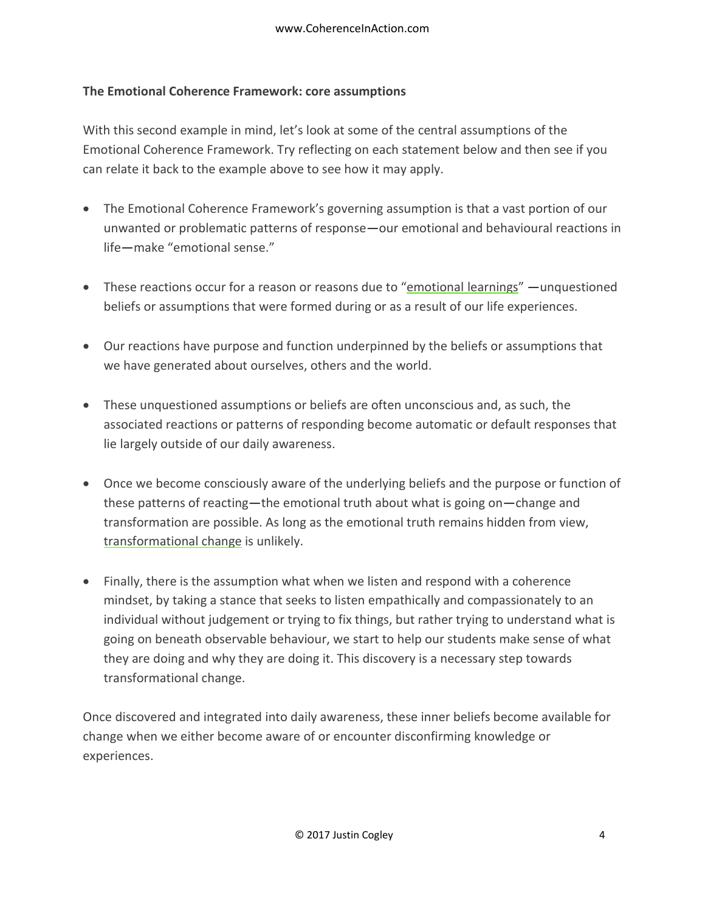#### **The Emotional Coherence Framework: core assumptions**

With this second example in mind, let's look at some of the central assumptions of the Emotional Coherence Framework. Try reflecting on each statement below and then see if you can relate it back to the example above to see how it may apply.

- The Emotional Coherence Framework's governing assumption is that a vast portion of our unwanted or problematic patterns of response—our emotional and behavioural reactions in life—make "emotional sense."
- These reactions occur for a reason or reasons due to "emotional learnings" —unquestioned beliefs or assumptions that were formed during or as a result of our life experiences.
- Our reactions have purpose and function underpinned by the beliefs or assumptions that we have generated about ourselves, others and the world.
- These unquestioned assumptions or beliefs are often unconscious and, as such, the associated reactions or patterns of responding become automatic or default responses that lie largely outside of our daily awareness.
- Once we become consciously aware of the underlying beliefs and the purpose or function of these patterns of reacting—the emotional truth about what is going on—change and transformation are possible. As long as the emotional truth remains hidden from view, transformational change is unlikely.
- Finally, there is the assumption what when we listen and respond with a coherence mindset, by taking a stance that seeks to listen empathically and compassionately to an individual without judgement or trying to fix things, but rather trying to understand what is going on beneath observable behaviour, we start to help our students make sense of what they are doing and why they are doing it. This discovery is a necessary step towards transformational change.

Once discovered and integrated into daily awareness, these inner beliefs become available for change when we either become aware of or encounter disconfirming knowledge or experiences.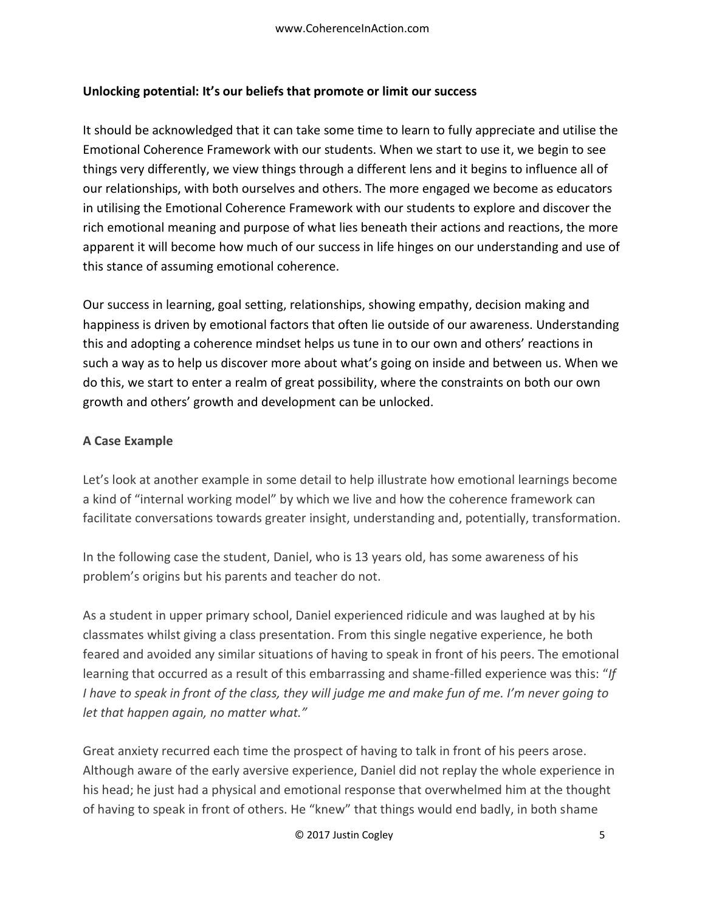## **Unlocking potential: It's our beliefs that promote or limit our success**

It should be acknowledged that it can take some time to learn to fully appreciate and utilise the Emotional Coherence Framework with our students. When we start to use it, we begin to see things very differently, we view things through a different lens and it begins to influence all of our relationships, with both ourselves and others. The more engaged we become as educators in utilising the Emotional Coherence Framework with our students to explore and discover the rich emotional meaning and purpose of what lies beneath their actions and reactions, the more apparent it will become how much of our success in life hinges on our understanding and use of this stance of assuming emotional coherence.

Our success in learning, goal setting, relationships, showing empathy, decision making and happiness is driven by emotional factors that often lie outside of our awareness. Understanding this and adopting a coherence mindset helps us tune in to our own and others' reactions in such a way as to help us discover more about what's going on inside and between us. When we do this, we start to enter a realm of great possibility, where the constraints on both our own growth and others' growth and development can be unlocked.

# **A Case Example**

Let's look at another example in some detail to help illustrate how emotional learnings become a kind of "internal working model" by which we live and how the coherence framework can facilitate conversations towards greater insight, understanding and, potentially, transformation.

In the following case the student, Daniel, who is 13 years old, has some awareness of his problem's origins but his parents and teacher do not.

As a student in upper primary school, Daniel experienced ridicule and was laughed at by his classmates whilst giving a class presentation. From this single negative experience, he both feared and avoided any similar situations of having to speak in front of his peers. The emotional learning that occurred as a result of this embarrassing and shame-filled experience was this: "*If I have to speak in front of the class, they will judge me and make fun of me. I'm never going to let that happen again, no matter what."*

Great anxiety recurred each time the prospect of having to talk in front of his peers arose. Although aware of the early aversive experience, Daniel did not replay the whole experience in his head; he just had a physical and emotional response that overwhelmed him at the thought of having to speak in front of others. He "knew" that things would end badly, in both shame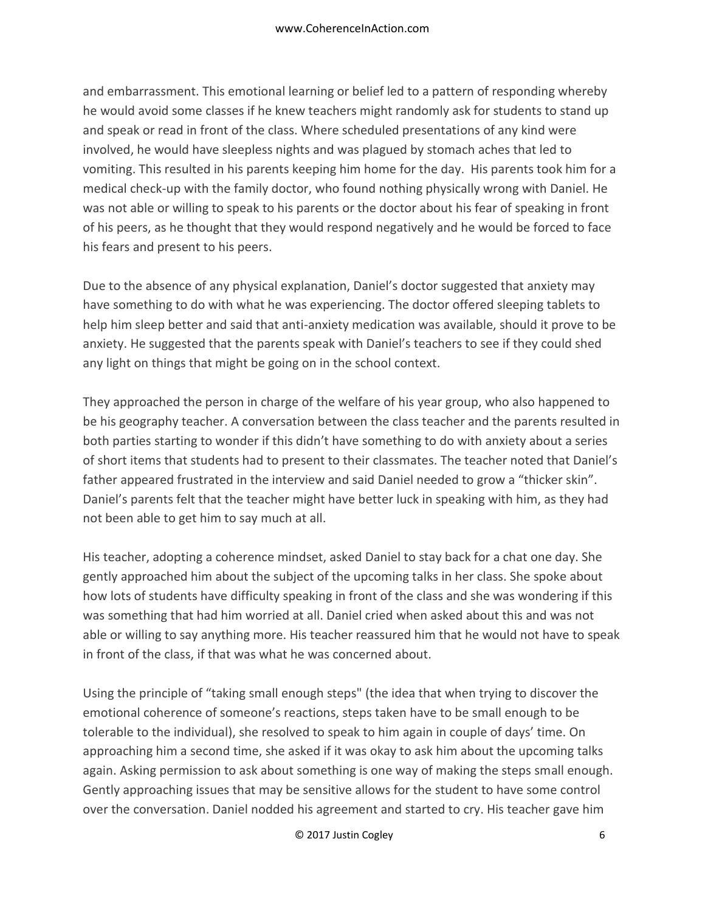and embarrassment. This emotional learning or belief led to a pattern of responding whereby he would avoid some classes if he knew teachers might randomly ask for students to stand up and speak or read in front of the class. Where scheduled presentations of any kind were involved, he would have sleepless nights and was plagued by stomach aches that led to vomiting. This resulted in his parents keeping him home for the day. His parents took him for a medical check-up with the family doctor, who found nothing physically wrong with Daniel. He was not able or willing to speak to his parents or the doctor about his fear of speaking in front of his peers, as he thought that they would respond negatively and he would be forced to face his fears and present to his peers.

Due to the absence of any physical explanation, Daniel's doctor suggested that anxiety may have something to do with what he was experiencing. The doctor offered sleeping tablets to help him sleep better and said that anti-anxiety medication was available, should it prove to be anxiety. He suggested that the parents speak with Daniel's teachers to see if they could shed any light on things that might be going on in the school context.

They approached the person in charge of the welfare of his year group, who also happened to be his geography teacher. A conversation between the class teacher and the parents resulted in both parties starting to wonder if this didn't have something to do with anxiety about a series of short items that students had to present to their classmates. The teacher noted that Daniel's father appeared frustrated in the interview and said Daniel needed to grow a "thicker skin". Daniel's parents felt that the teacher might have better luck in speaking with him, as they had not been able to get him to say much at all.

His teacher, adopting a coherence mindset, asked Daniel to stay back for a chat one day. She gently approached him about the subject of the upcoming talks in her class. She spoke about how lots of students have difficulty speaking in front of the class and she was wondering if this was something that had him worried at all. Daniel cried when asked about this and was not able or willing to say anything more. His teacher reassured him that he would not have to speak in front of the class, if that was what he was concerned about.

Using the principle of "taking small enough steps" (the idea that when trying to discover the emotional coherence of someone's reactions, steps taken have to be small enough to be tolerable to the individual), she resolved to speak to him again in couple of days' time. On approaching him a second time, she asked if it was okay to ask him about the upcoming talks again. Asking permission to ask about something is one way of making the steps small enough. Gently approaching issues that may be sensitive allows for the student to have some control over the conversation. Daniel nodded his agreement and started to cry. His teacher gave him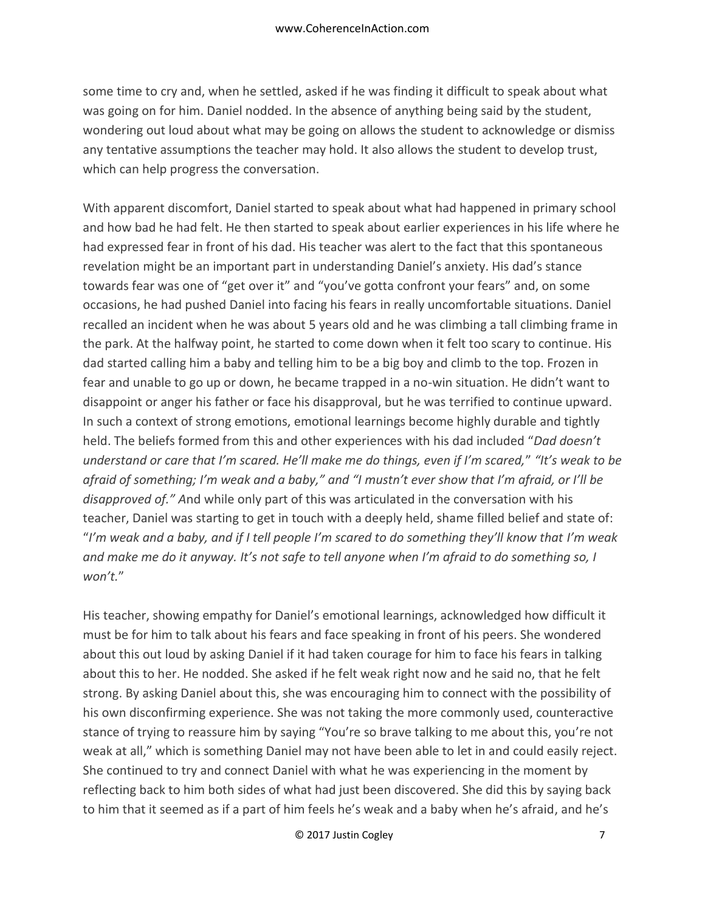some time to cry and, when he settled, asked if he was finding it difficult to speak about what was going on for him. Daniel nodded. In the absence of anything being said by the student, wondering out loud about what may be going on allows the student to acknowledge or dismiss any tentative assumptions the teacher may hold. It also allows the student to develop trust, which can help progress the conversation.

With apparent discomfort, Daniel started to speak about what had happened in primary school and how bad he had felt. He then started to speak about earlier experiences in his life where he had expressed fear in front of his dad. His teacher was alert to the fact that this spontaneous revelation might be an important part in understanding Daniel's anxiety. His dad's stance towards fear was one of "get over it" and "you've gotta confront your fears" and, on some occasions, he had pushed Daniel into facing his fears in really uncomfortable situations. Daniel recalled an incident when he was about 5 years old and he was climbing a tall climbing frame in the park. At the halfway point, he started to come down when it felt too scary to continue. His dad started calling him a baby and telling him to be a big boy and climb to the top. Frozen in fear and unable to go up or down, he became trapped in a no-win situation. He didn't want to disappoint or anger his father or face his disapproval, but he was terrified to continue upward. In such a context of strong emotions, emotional learnings become highly durable and tightly held. The beliefs formed from this and other experiences with his dad included "*Dad doesn't understand or care that I'm scared. He'll make me do things, even if I'm scared,*" *"It's weak to be afraid of something; I'm weak and a baby," and "I mustn't ever show that I'm afraid, or I'll be disapproved of." A*nd while only part of this was articulated in the conversation with his teacher, Daniel was starting to get in touch with a deeply held, shame filled belief and state of: "*I'm weak and a baby, and if I tell people I'm scared to do something they'll know that I'm weak and make me do it anyway. It's not safe to tell anyone when I'm afraid to do something so, I won't.*"

His teacher, showing empathy for Daniel's emotional learnings, acknowledged how difficult it must be for him to talk about his fears and face speaking in front of his peers. She wondered about this out loud by asking Daniel if it had taken courage for him to face his fears in talking about this to her. He nodded. She asked if he felt weak right now and he said no, that he felt strong. By asking Daniel about this, she was encouraging him to connect with the possibility of his own disconfirming experience. She was not taking the more commonly used, counteractive stance of trying to reassure him by saying "You're so brave talking to me about this, you're not weak at all," which is something Daniel may not have been able to let in and could easily reject. She continued to try and connect Daniel with what he was experiencing in the moment by reflecting back to him both sides of what had just been discovered. She did this by saying back to him that it seemed as if a part of him feels he's weak and a baby when he's afraid, and he's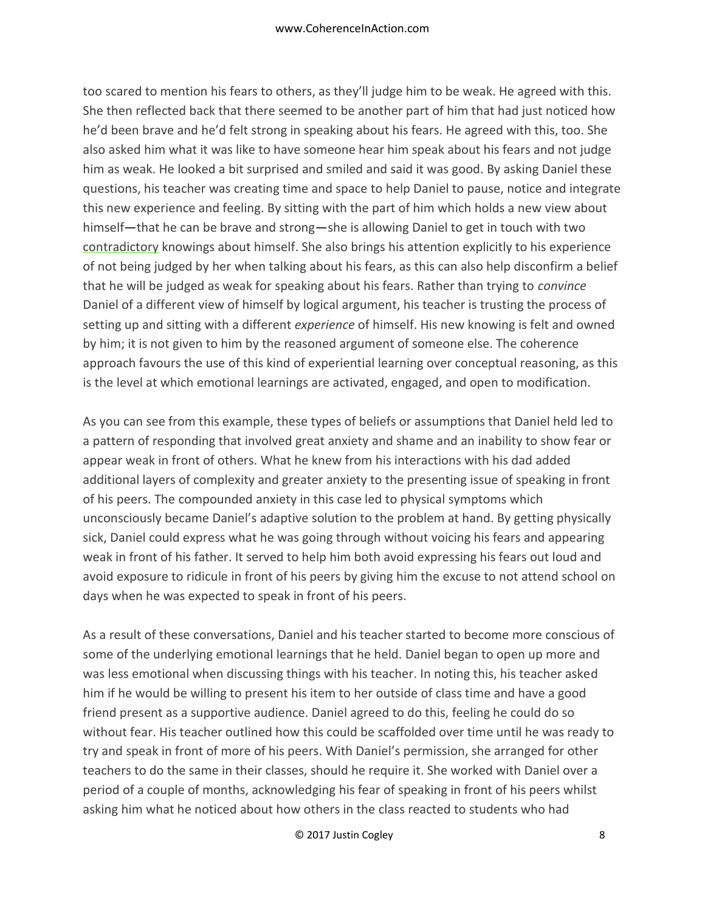too scared to mention his fears to others, as they'll judge him to be weak. He agreed with this. She then reflected back that there seemed to be another part of him that had just noticed how he'd been brave and he'd felt strong in speaking about his fears. He agreed with this, too. She also asked him what it was like to have someone hear him speak about his fears and not judge him as weak. He looked a bit surprised and smiled and said it was good. By asking Daniel these questions, his teacher was creating time and space to help Daniel to pause, notice and integrate this new experience and feeling. By sitting with the part of him which holds a new view about himself—that he can be brave and strong—she is allowing Daniel to get in touch with two contradictory knowings about himself. She also brings his attention explicitly to his experience of not being judged by her when talking about his fears, as this can also help disconfirm a belief that he will be judged as weak for speaking about his fears. Rather than trying to *convince* Daniel of a different view of himself by logical argument, his teacher is trusting the process of setting up and sitting with a different *experience* of himself. His new knowing is felt and owned by him; it is not given to him by the reasoned argument of someone else. The coherence approach favours the use of this kind of experiential learning over conceptual reasoning, as this is the level at which emotional learnings are activated, engaged, and open to modification.

As you can see from this example, these types of beliefs or assumptions that Daniel held led to a pattern of responding that involved great anxiety and shame and an inability to show fear or appear weak in front of others. What he knew from his interactions with his dad added additional layers of complexity and greater anxiety to the presenting issue of speaking in front of his peers. The compounded anxiety in this case led to physical symptoms which unconsciously became Daniel's adaptive solution to the problem at hand. By getting physically sick, Daniel could express what he was going through without voicing his fears and appearing weak in front of his father. It served to help him both avoid expressing his fears out loud and avoid exposure to ridicule in front of his peers by giving him the excuse to not attend school on days when he was expected to speak in front of his peers.

As a result of these conversations, Daniel and his teacher started to become more conscious of some of the underlying emotional learnings that he held. Daniel began to open up more and was less emotional when discussing things with his teacher. In noting this, his teacher asked him if he would be willing to present his item to her outside of class time and have a good friend present as a supportive audience. Daniel agreed to do this, feeling he could do so without fear. His teacher outlined how this could be scaffolded over time until he was ready to try and speak in front of more of his peers. With Daniel's permission, she arranged for other teachers to do the same in their classes, should he require it. She worked with Daniel over a period of a couple of months, acknowledging his fear of speaking in front of his peers whilst asking him what he noticed about how others in the class reacted to students who had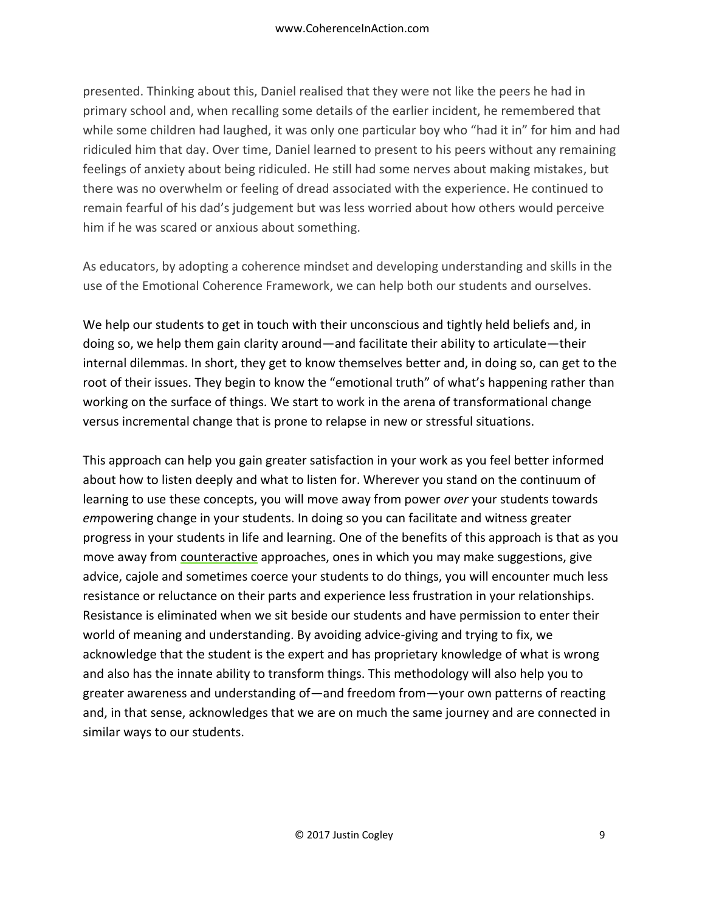presented. Thinking about this, Daniel realised that they were not like the peers he had in primary school and, when recalling some details of the earlier incident, he remembered that while some children had laughed, it was only one particular boy who "had it in" for him and had ridiculed him that day. Over time, Daniel learned to present to his peers without any remaining feelings of anxiety about being ridiculed. He still had some nerves about making mistakes, but there was no overwhelm or feeling of dread associated with the experience. He continued to remain fearful of his dad's judgement but was less worried about how others would perceive him if he was scared or anxious about something.

As educators, by adopting a coherence mindset and developing understanding and skills in the use of the Emotional Coherence Framework, we can help both our students and ourselves.

We help our students to get in touch with their unconscious and tightly held beliefs and, in doing so, we help them gain clarity around—and facilitate their ability to articulate—their internal dilemmas. In short, they get to know themselves better and, in doing so, can get to the root of their issues. They begin to know the "emotional truth" of what's happening rather than working on the surface of things. We start to work in the arena of transformational change versus incremental change that is prone to relapse in new or stressful situations.

This approach can help you gain greater satisfaction in your work as you feel better informed about how to listen deeply and what to listen for. Wherever you stand on the continuum of learning to use these concepts, you will move away from power *over* your students towards *em*powering change in your students. In doing so you can facilitate and witness greater progress in your students in life and learning. One of the benefits of this approach is that as you move away from counteractive approaches, ones in which you may make suggestions, give advice, cajole and sometimes coerce your students to do things, you will encounter much less resistance or reluctance on their parts and experience less frustration in your relationships. Resistance is eliminated when we sit beside our students and have permission to enter their world of meaning and understanding. By avoiding advice-giving and trying to fix, we acknowledge that the student is the expert and has proprietary knowledge of what is wrong and also has the innate ability to transform things. This methodology will also help you to greater awareness and understanding of—and freedom from—your own patterns of reacting and, in that sense, acknowledges that we are on much the same journey and are connected in similar ways to our students.